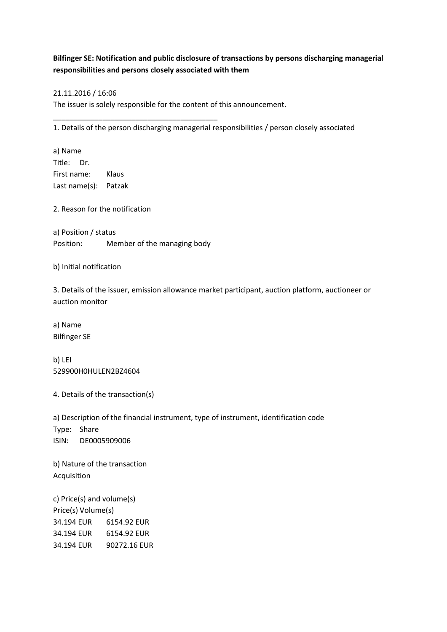## **Bilfinger SE: Notification and public disclosure of transactions by persons discharging managerial responsibilities and persons closely associated with them**

## 21.11.2016 / 16:06

The issuer is solely responsible for the content of this announcement.

1. Details of the person discharging managerial responsibilities / person closely associated

a) Name Title: Dr. First name: Klaus Last name(s): Patzak

2. Reason for the notification

a) Position / status Position: Member of the managing body

\_\_\_\_\_\_\_\_\_\_\_\_\_\_\_\_\_\_\_\_\_\_\_\_\_\_\_\_\_\_\_\_\_\_\_\_\_\_\_\_

b) Initial notification

3. Details of the issuer, emission allowance market participant, auction platform, auctioneer or auction monitor

a) Name Bilfinger SE

b) LEI 529900H0HULEN2BZ4604

4. Details of the transaction(s)

a) Description of the financial instrument, type of instrument, identification code Type: Share ISIN: DE0005909006

b) Nature of the transaction Acquisition

c) Price(s) and volume(s) Price(s) Volume(s) 34.194 EUR 6154.92 EUR 34.194 EUR 6154.92 EUR 34.194 EUR 90272.16 EUR